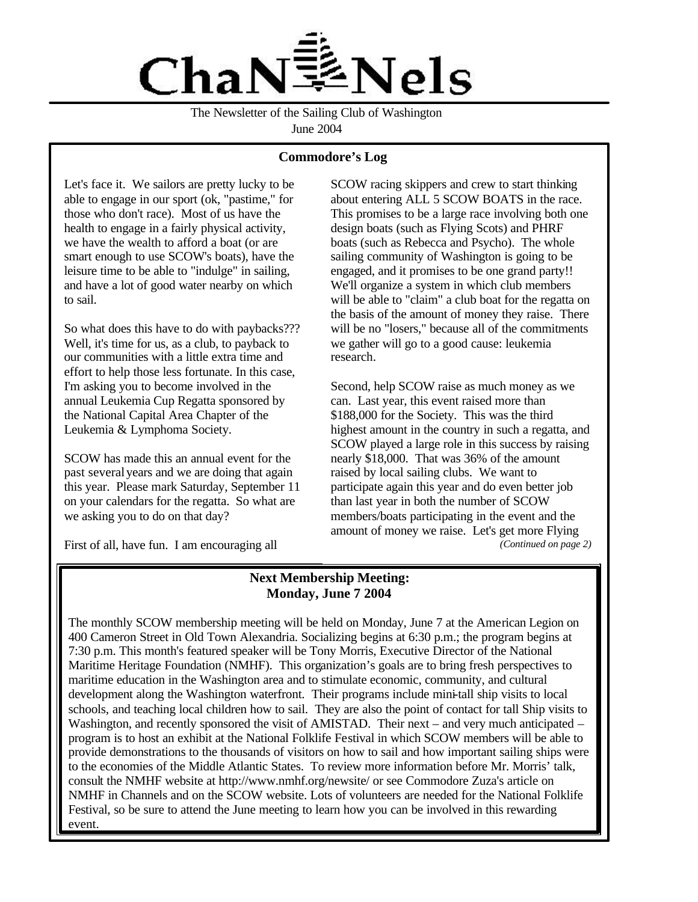

The Newsletter of the Sailing Club of Washington June 2004

## **Commodore's Log**

Let's face it. We sailors are pretty lucky to be able to engage in our sport (ok, "pastime," for those who don't race). Most of us have the health to engage in a fairly physical activity, we have the wealth to afford a boat (or are smart enough to use SCOW's boats), have the leisure time to be able to "indulge" in sailing, and have a lot of good water nearby on which to sail.

So what does this have to do with paybacks??? Well, it's time for us, as a club, to payback to our communities with a little extra time and effort to help those less fortunate. In this case, I'm asking you to become involved in the annual Leukemia Cup Regatta sponsored by the National Capital Area Chapter of the Leukemia & Lymphoma Society.

SCOW has made this an annual event for the past several years and we are doing that again this year. Please mark Saturday, September 11 on your calendars for the regatta. So what are we asking you to do on that day?

First of all, have fun. I am encouraging all

SCOW racing skippers and crew to start thinking about entering ALL 5 SCOW BOATS in the race. This promises to be a large race involving both one design boats (such as Flying Scots) and PHRF boats (such as Rebecca and Psycho). The whole sailing community of Washington is going to be engaged, and it promises to be one grand party!! We'll organize a system in which club members will be able to "claim" a club boat for the regatta on the basis of the amount of money they raise. There will be no "losers," because all of the commitments we gather will go to a good cause: leukemia research.

Second, help SCOW raise as much money as we can. Last year, this event raised more than \$188,000 for the Society. This was the third highest amount in the country in such a regatta, and SCOW played a large role in this success by raising nearly \$18,000. That was 36% of the amount raised by local sailing clubs. We want to participate again this year and do even better job than last year in both the number of SCOW members/boats participating in the event and the amount of money we raise. Let's get more Flying *(Continued on page 2)*

## **Next Membership Meeting: Monday, June 7 2004**

The monthly SCOW membership meeting will be held on Monday, June 7 at the American Legion on 400 Cameron Street in Old Town Alexandria. Socializing begins at 6:30 p.m.; the program begins at 7:30 p.m. This month's featured speaker will be Tony Morris, Executive Director of the National Maritime Heritage Foundation (NMHF). This organization's goals are to bring fresh perspectives to maritime education in the Washington area and to stimulate economic, community, and cultural development along the Washington waterfront. Their programs include mini-tall ship visits to local schools, and teaching local children how to sail. They are also the point of contact for tall Ship visits to Washington, and recently sponsored the visit of AMISTAD. Their next – and very much anticipated – program is to host an exhibit at the National Folklife Festival in which SCOW members will be able to provide demonstrations to the thousands of visitors on how to sail and how important sailing ships were to the economies of the Middle Atlantic States. To review more information before Mr. Morris' talk, consult the NMHF website at http://www.nmhf.org/newsite/ or see Commodore Zuza's article on NMHF in Channels and on the SCOW website. Lots of volunteers are needed for the National Folklife Festival, so be sure to attend the June meeting to learn how you can be involved in this rewarding event.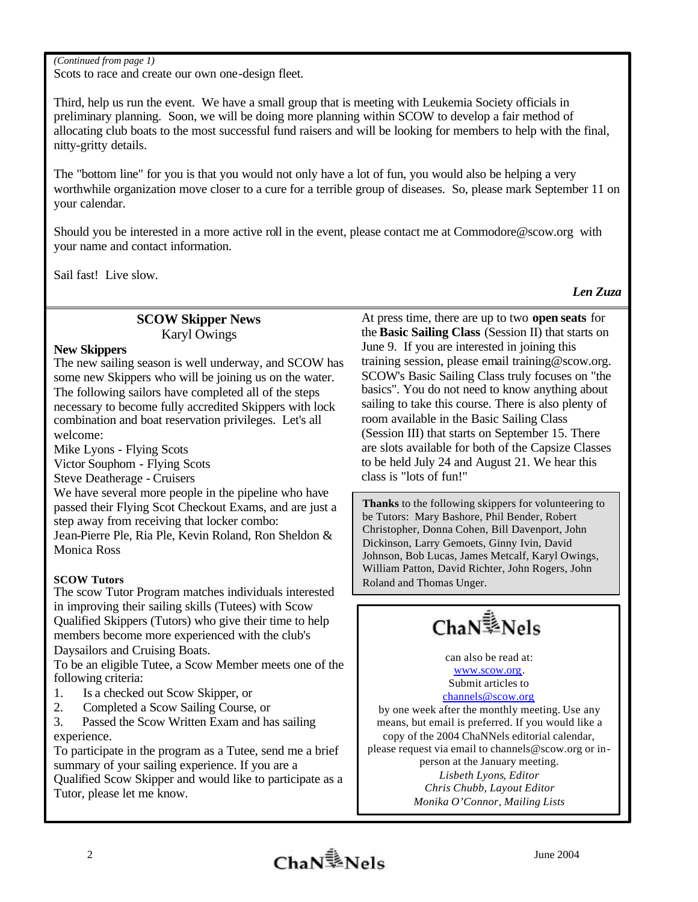### *(Continued from page 1)*

Scots to race and create our own one-design fleet.

Third, help us run the event. We have a small group that is meeting with Leukemia Society officials in preliminary planning. Soon, we will be doing more planning within SCOW to develop a fair method of allocating club boats to the most successful fund raisers and will be looking for members to help with the final, nitty-gritty details.

The "bottom line" for you is that you would not only have a lot of fun, you would also be helping a very worthwhile organization move closer to a cure for a terrible group of diseases. So, please mark September 11 on your calendar.

Should you be interested in a more active roll in the event, please contact me at Commodore@scow.org with your name and contact information.

Sail fast! Live slow.

*Len Zuza*

# **SCOW Skipper News** Karyl Owings

## **New Skippers**

The new sailing season is well underway, and SCOW has some new Skippers who will be joining us on the water. The following sailors have completed all of the steps necessary to become fully accredited Skippers with lock combination and boat reservation privileges. Let's all welcome:

Mike Lyons - Flying Scots

Victor Souphom - Flying Scots

Steve Deatherage - Cruisers

We have several more people in the pipeline who have passed their Flying Scot Checkout Exams, and are just a step away from receiving that locker combo: Jean-Pierre Ple, Ria Ple, Kevin Roland, Ron Sheldon &

Monica Ross

## **SCOW Tutors**

The scow Tutor Program matches individuals interested in improving their sailing skills (Tutees) with Scow Qualified Skippers (Tutors) who give their time to help members become more experienced with the club's Daysailors and Cruising Boats.

To be an eligible Tutee, a Scow Member meets one of the following criteria:

- 1. Is a checked out Scow Skipper, or
- 2. Completed a Scow Sailing Course, or

3. Passed the Scow Written Exam and has sailing experience.

To participate in the program as a Tutee, send me a brief summary of your sailing experience. If you are a Qualified Scow Skipper and would like to participate as a Tutor, please let me know.

At press time, there are up to two **open seats** for the **Basic Sailing Class** (Session II) that starts on June 9. If you are interested in joining this training session, please email training@scow.org. SCOW's Basic Sailing Class truly focuses on "the basics". You do not need to know anything about sailing to take this course. There is also plenty of room available in the Basic Sailing Class (Session III) that starts on September 15. There are slots available for both of the Capsize Classes to be held July 24 and August 21. We hear this class is "lots of fun!"

**Thanks** to the following skippers for volunteering to be Tutors: Mary Bashore, Phil Bender, Robert Christopher, Donna Cohen, Bill Davenport, John Dickinson, Larry Gemoets, Ginny Ivin, David Johnson, Bob Lucas, James Metcalf, Karyl Owings, William Patton, David Richter, John Rogers, John Roland and Thomas Unger.

ChaN<sup>1</sup>>Nels

can also be read at: www.scow.org. Submit articles to

### channels@scow.org

by one week after the monthly meeting. Use any means, but email is preferred. If you would like a copy of the 2004 ChaNNels editorial calendar, please request via email to channels@scow.org or inperson at the January meeting. *Lisbeth Lyons, Editor Chris Chubb, Layout Editor*

*Monika O'Connor, Mailing Lists*

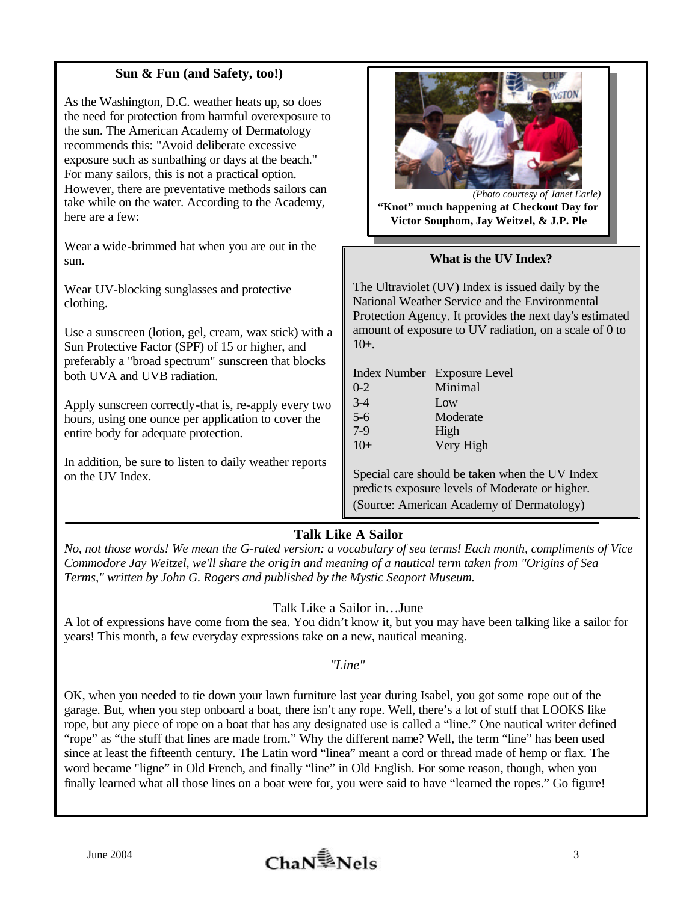## **Sun & Fun (and Safety, too!)**

As the Washington, D.C. weather heats up, so does the need for protection from harmful overexposure to the sun. The American Academy of Dermatology recommends this: "Avoid deliberate excessive exposure such as sunbathing or days at the beach." For many sailors, this is not a practical option. However, there are preventative methods sailors can take while on the water. According to the Academy, here are a few:

Wear a wide-brimmed hat when you are out in the sun.

Wear UV-blocking sunglasses and protective clothing.

Use a sunscreen (lotion, gel, cream, wax stick) with a Sun Protective Factor (SPF) of 15 or higher, and preferably a "broad spectrum" sunscreen that blocks both UVA and UVB radiation.

Apply sunscreen correctly-that is, re-apply every two hours, using one ounce per application to cover the entire body for adequate protection.

In addition, be sure to listen to daily weather reports on the UV Index.



**"Knot" much happening at Checkout Day for Victor Souphom, Jay Weitzel, & J.P. Ple**

## **What is the UV Index?**

The Ultraviolet (UV) Index is issued daily by the National Weather Service and the Environmental Protection Agency. It provides the next day's estimated amount of exposure to UV radiation, on a scale of 0 to 10+.

|         | Index Number Exposure Level |
|---------|-----------------------------|
| $0 - 2$ | Minimal                     |
| $3-4$   | Low                         |
| $5-6$   | Moderate                    |
| $7-9$   | High                        |
| $10+$   | Very High                   |

Special care should be taken when the UV Index predicts exposure levels of Moderate or higher. (Source: American Academy of Dermatology)

## **Talk Like A Sailor**

*No, not those words! We mean the G-rated version: a vocabulary of sea terms! Each month, compliments of Vice Commodore Jay Weitzel, we'll share the origin and meaning of a nautical term taken from "Origins of Sea Terms," written by John G. Rogers and published by the Mystic Seaport Museum.* 

## Talk Like a Sailor in…June

A lot of expressions have come from the sea. You didn't know it, but you may have been talking like a sailor for years! This month, a few everyday expressions take on a new, nautical meaning.

## *"Line"*

OK, when you needed to tie down your lawn furniture last year during Isabel, you got some rope out of the garage. But, when you step onboard a boat, there isn't any rope. Well, there's a lot of stuff that LOOKS like rope, but any piece of rope on a boat that has any designated use is called a "line." One nautical writer defined "rope" as "the stuff that lines are made from." Why the different name? Well, the term "line" has been used since at least the fifteenth century. The Latin word "linea" meant a cord or thread made of hemp or flax. The word became "ligne" in Old French, and finally "line" in Old English. For some reason, though, when you finally learned what all those lines on a boat were for, you were said to have "learned the ropes." Go figure!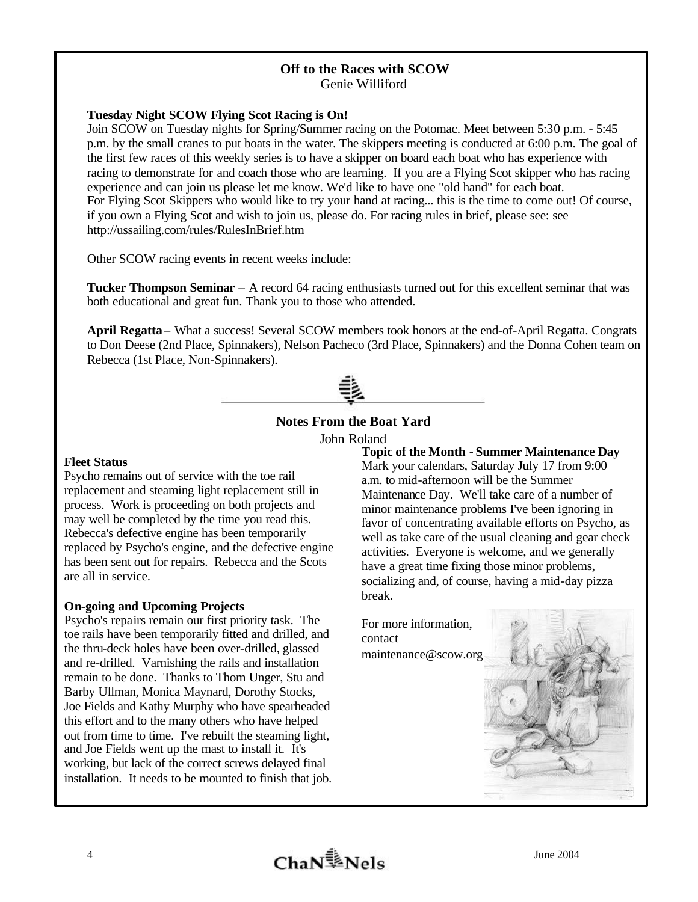# **Off to the Races with SCOW**

Genie Williford

### **Tuesday Night SCOW Flying Scot Racing is On!**

Join SCOW on Tuesday nights for Spring/Summer racing on the Potomac. Meet between 5:30 p.m. - 5:45 p.m. by the small cranes to put boats in the water. The skippers meeting is conducted at 6:00 p.m. The goal of the first few races of this weekly series is to have a skipper on board each boat who has experience with racing to demonstrate for and coach those who are learning. If you are a Flying Scot skipper who has racing experience and can join us please let me know. We'd like to have one "old hand" for each boat. For Flying Scot Skippers who would like to try your hand at racing... this is the time to come out! Of course, if you own a Flying Scot and wish to join us, please do. For racing rules in brief, please see: see http://ussailing.com/rules/RulesInBrief.htm

Other SCOW racing events in recent weeks include:

**Tucker Thompson Seminar** – A record 64 racing enthusiasts turned out for this excellent seminar that was both educational and great fun. Thank you to those who attended.

**April Regatta** – What a success! Several SCOW members took honors at the end-of-April Regatta. Congrats to Don Deese (2nd Place, Spinnakers), Nelson Pacheco (3rd Place, Spinnakers) and the Donna Cohen team on Rebecca (1st Place, Non-Spinnakers).



## **Notes From the Boat Yard**

John Roland

#### **Fleet Status**

Psycho remains out of service with the toe rail replacement and steaming light replacement still in process. Work is proceeding on both projects and may well be completed by the time you read this. Rebecca's defective engine has been temporarily replaced by Psycho's engine, and the defective engine has been sent out for repairs. Rebecca and the Scots are all in service.

### **On-going and Upcoming Projects**

Psycho's repairs remain our first priority task. The toe rails have been temporarily fitted and drilled, and the thru-deck holes have been over-drilled, glassed and re-drilled. Varnishing the rails and installation remain to be done. Thanks to Thom Unger, Stu and Barby Ullman, Monica Maynard, Dorothy Stocks, Joe Fields and Kathy Murphy who have spearheaded this effort and to the many others who have helped out from time to time. I've rebuilt the steaming light, and Joe Fields went up the mast to install it. It's working, but lack of the correct screws delayed final installation. It needs to be mounted to finish that job.

**Topic of the Month - Summer Maintenance Day** Mark your calendars, Saturday July 17 from 9:00 a.m. to mid-afternoon will be the Summer Maintenance Day. We'll take care of a number of minor maintenance problems I've been ignoring in favor of concentrating available efforts on Psycho, as well as take care of the usual cleaning and gear check activities. Everyone is welcome, and we generally

have a great time fixing those minor problems, socializing and, of course, having a mid-day pizza break.

For more information, contact maintenance@scow.org

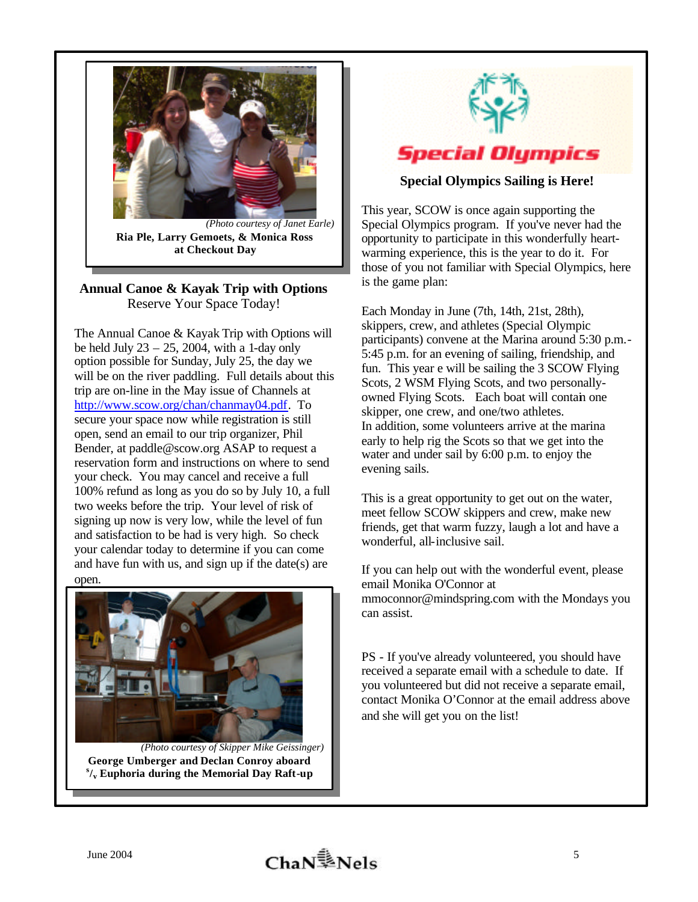

**Ria Ple, Larry Gemoets, & Monica Ross at Checkout Day**

## **Annual Canoe & Kayak Trip with Options** Reserve Your Space Today!

The Annual Canoe & Kayak Trip with Options will be held July  $23 - 25$ , 2004, with a 1-day only option possible for Sunday, July 25, the day we will be on the river paddling. Full details about this trip are on-line in the May issue of Channels at http://www.scow.org/chan/chanmay04.pdf. To secure your space now while registration is still open, send an email to our trip organizer, Phil Bender, at paddle@scow.org ASAP to request a reservation form and instructions on where to send your check. You may cancel and receive a full 100% refund as long as you do so by July 10, a full two weeks before the trip. Your level of risk of signing up now is very low, while the level of fun and satisfaction to be had is very high. So check your calendar today to determine if you can come and have fun with us, and sign up if the date(s) are open.



*(Photo courtesy of Skipper Mike Geissinger)* **George Umberger and Declan Conroy aboard s /v Euphoria during the Memorial Day Raft-up**



**Special Olympics Sailing is Here!**

This year, SCOW is once again supporting the Special Olympics program. If you've never had the opportunity to participate in this wonderfully heartwarming experience, this is the year to do it. For those of you not familiar with Special Olympics, here is the game plan:

Each Monday in June (7th, 14th, 21st, 28th), skippers, crew, and athletes (Special Olympic participants) convene at the Marina around 5:30 p.m.- 5:45 p.m. for an evening of sailing, friendship, and fun. This year e will be sailing the 3 SCOW Flying Scots, 2 WSM Flying Scots, and two personallyowned Flying Scots. Each boat will contain one skipper, one crew, and one/two athletes. In addition, some volunteers arrive at the marina early to help rig the Scots so that we get into the water and under sail by 6:00 p.m. to enjoy the evening sails.

This is a great opportunity to get out on the water, meet fellow SCOW skippers and crew, make new friends, get that warm fuzzy, laugh a lot and have a wonderful, all-inclusive sail.

If you can help out with the wonderful event, please email Monika O'Connor at mmoconnor@mindspring.com with the Mondays you can assist.

PS - If you've already volunteered, you should have received a separate email with a schedule to date. If you volunteered but did not receive a separate email, contact Monika O'Connor at the email address above and she will get you on the list!